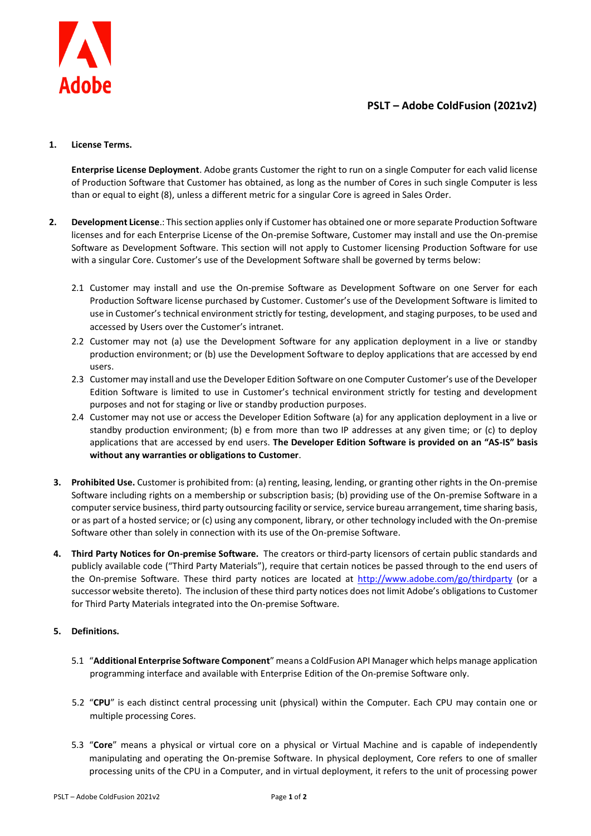

## **PSLT – Adobe ColdFusion (2021v2)**

## **1. License Terms.**

**Enterprise License Deployment**. Adobe grants Customer the right to run on a single Computer for each valid license of Production Software that Customer has obtained, as long as the number of Cores in such single Computer is less than or equal to eight (8), unless a different metric for a singular Core is agreed in Sales Order.

- **2. Development License**.: This section applies only if Customer has obtained one or more separate Production Software licenses and for each Enterprise License of the On-premise Software, Customer may install and use the On-premise Software as Development Software. This section will not apply to Customer licensing Production Software for use with a singular Core. Customer's use of the Development Software shall be governed by terms below:
	- 2.1 Customer may install and use the On-premise Software as Development Software on one Server for each Production Software license purchased by Customer. Customer's use of the Development Software is limited to use in Customer's technical environment strictly for testing, development, and staging purposes, to be used and accessed by Users over the Customer's intranet.
	- 2.2 Customer may not (a) use the Development Software for any application deployment in a live or standby production environment; or (b) use the Development Software to deploy applications that are accessed by end users.
	- 2.3 Customer may install and use the Developer Edition Software on one Computer Customer's use of the Developer Edition Software is limited to use in Customer's technical environment strictly for testing and development purposes and not for staging or live or standby production purposes.
	- 2.4 Customer may not use or access the Developer Edition Software (a) for any application deployment in a live or standby production environment; (b) e from more than two IP addresses at any given time; or (c) to deploy applications that are accessed by end users. **The Developer Edition Software is provided on an "AS-IS" basis without any warranties or obligations to Customer**.
- **3. Prohibited Use.** Customer is prohibited from: (a) renting, leasing, lending, or granting other rights in the On-premise Software including rights on a membership or subscription basis; (b) providing use of the On-premise Software in a computer service business, third party outsourcing facility or service, service bureau arrangement, time sharing basis, or as part of a hosted service; or (c) using any component, library, or other technology included with the On-premise Software other than solely in connection with its use of the On-premise Software.
- **4. Third Party Notices for On-premise Software.** The creators or third-party licensors of certain public standards and publicly available code ("Third Party Materials"), require that certain notices be passed through to the end users of the On-premise Software. These third party notices are located at<http://www.adobe.com/go/thirdparty> (or a successor website thereto). The inclusion of these third party notices does not limit Adobe's obligations to Customer for Third Party Materials integrated into the On-premise Software.

## **5. Definitions.**

- 5.1 "**Additional Enterprise Software Component**" means a ColdFusion API Manager which helps manage application programming interface and available with Enterprise Edition of the On-premise Software only.
- 5.2 "**CPU**" is each distinct central processing unit (physical) within the Computer. Each CPU may contain one or multiple processing Cores.
- 5.3 "**Core**" means a physical or virtual core on a physical or Virtual Machine and is capable of independently manipulating and operating the On-premise Software. In physical deployment, Core refers to one of smaller processing units of the CPU in a Computer, and in virtual deployment, it refers to the unit of processing power